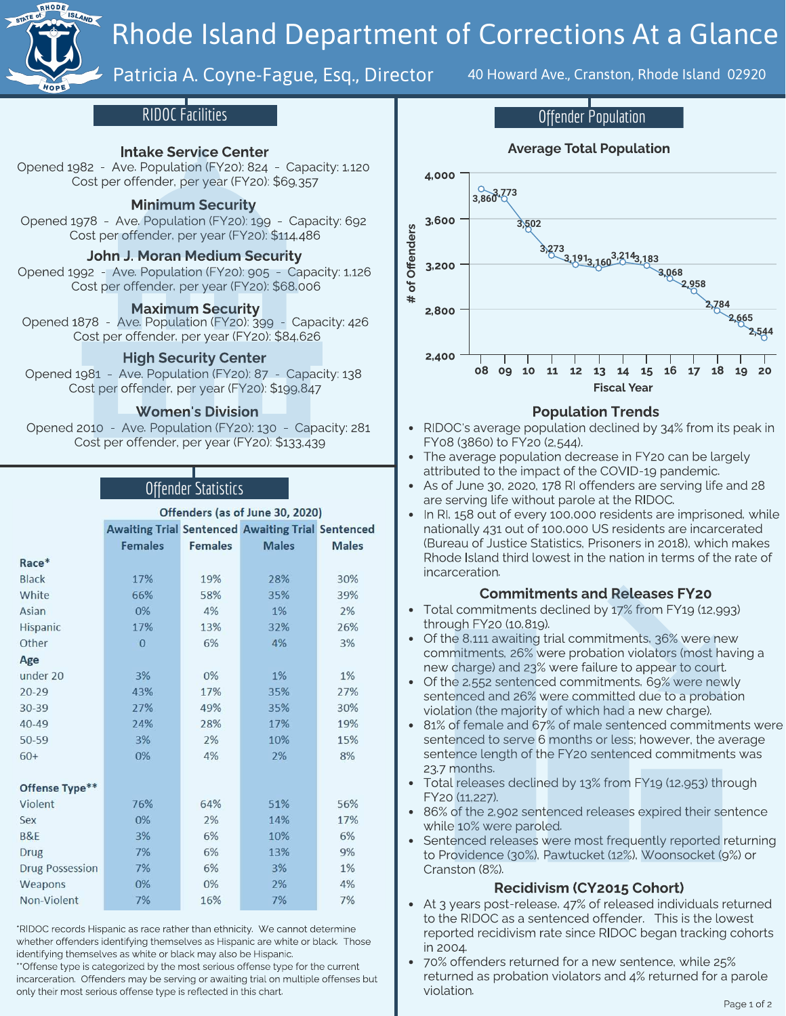

# Rhode Island Department of Corrections At a Glance

# Patricia A. Coyne-Fague, Esq., Director 40 Howard Ave., Cranston, Rhode Island 02920

### RIDOC Facilities

### Intake Service Center

Pened 1984 - Ave. Penedictory: 1982 - Penedictory: 1,1200<br>Cost ner offender ner vear (FY20): \$60.257  $C_2$  , per offer  $\frac{1}{2}$  , per  $\frac{1}{2}$  .  $\frac{1}{2}$  ,  $\frac{1}{2}$  ,  $\frac{1}{2}$  ,  $\frac{1}{2}$  ,  $\frac{1}{2}$  ,  $\frac{1}{2}$  ,  $\frac{1}{2}$  ,  $\frac{1}{2}$  ,  $\frac{1}{2}$  ,  $\frac{1}{2}$  ,  $\frac{1}{2}$  ,  $\frac{1}{2}$  ,  $\frac{1}{2}$  ,  $\frac{1}{2}$  ,  $\frac{1}{2$ 

### Minimum Security

Opened 1978 - Ave. Population (FY20): 199 - Capacity: 692<br>Cost per offender, per year (FY20): \$114,486

# Cost per offender, per year (FY20): \$114,486 John J. Moran Medium Security

Opened 1992 - Ave. Population (FY20): 905 - Capacity: 1,126 Cost per offender, per year (FY20): \$68,006

### Maximum Security

Pened 1978 - Population (FY20): September 1978 Cost per offender, per year (FY20): \$84,626

### High Security Center

Cost per offender persons (FY20): \$100.847  $C_1$  per offender, per year (FY20):  $\frac{1}{2}$ 

### Women's Division

Opened 2010 - Ave. Population (FY20): 130 - Capacity: 281 Cost per offender, per year (FY20): \$133,439

### Offender Statistics

### Offenders (as of June 30, 2020) **Awaiting Trial Sentenced Awaiting Trial Sentenced Females Females Males Males** Race\* **Black** 17% 19% 28% 30% White 66% 58% 35% 39%  $0\%$  $1%$  $2%$ Asian 4% Hispanic 17% 13% 32% 26% Other  $\overline{0}$ 6% 4% 3% Age 3% 0% 1% 1% under 20  $20 - 29$ 43% 17% 35% 27% 30-39 49% 35% 30% 27% 24% 28% 17% 19%  $40 - 49$ 3%  $2%$ 10% 50-59 15%  $60+$ 0% 4% 2% 8% Offense Type\*\* 64% 51% 56% Violent 76% 14% Sex 0%  $2%$ 17% **B&E** 3% 6% 10% 6% 7% **Drug** 6% 13% 9% 7% 6% 3% 1% **Drug Possession** Weapons 0% 0% 2% 4% 7% 7% 7% Non-Violent 16%

\*RIDOC records Hispanic as race rather than ethnicity. We cannot determine whether offenders identifying themselves as Hispanic are white or black. Those identifying themselves as white or black may also be Hispanic.

\*\*Offense type is categorized by the most serious offense type for the current incarceration. Offenders may be serving or awaiting trial on multiple offenses but only their most serious offense type is reflected in this chart.



### Population Trends

- RIDOC's average population declined by 34% from its peak in FY08 (3860) to FY20 (2,544).
- The average population decrease in FY20 can be largely. attributed to the impact of the COVID-19 pandemic.
- As of June 30, 2020, 178 RI offenders are serving life and 28  $\bullet$ are serving life without parole at the RIDOC.
- In RI, 158 out of every 100,000 residents are imprisoned, while nationally 431 out of 100,000 US residents are incarcerated (Bureau of Justice Statistics, Prisoners in 2018), which makes Rhode Island third lowest in the nation in terms of the rate of incarceration. incarceration.

### Commitments and Releases FY20

- Total commitments declined by 17% from FY19 (12,993)<br>through FY20 (10,819).
- Of the 8,111 awaiting trial commitments, 36% were new  $\bullet$ commitments, 26% were probation violators (most having a new charge) and 23% were failure to appear to court.
- Of the 2,552 sentenced commitments, 69% were newly sentenced and 26% were committed due to a probation violation (the majority of which had a new charge).
- $\bullet$ 81% of female and 67% of male sentenced commitments were sentenced to serve 6 months or less; however, the average sentence to serve a months or less; however, the average<br>sentence length of the FY20 sentenced commitments was sentence length of the FY20 sentenced commitments was<br>22.7 months
- -37.7 months.<br>Total release Total releases declined by 13% from FT19 (11,953) through FY20 (11,227).<br>86% of the 2,902 sentenced releases expired their sentence
- $\bullet$ while 10% were paroled.
- Sentenced releases were most frequently reported returning  $\bullet$ to Providence (30%), Pawtucket (12%), Woonsocket (9%) or Cranston (8%). Cranston (8%).

### Recidivism (CY2015 Cohort)

- At 3 years post-release, 47% of released individuals returned<br>to the RIDOC as a sentenced offender. This is the lowest reported recidivism rate since RIDOC began tracking cohorts reported recidivism rate since RIDOC began tracking cohorts in 2004.<br>70% offenders returned for a new sentence, while 25%
- returned as probation violators and  $4\%$  returned for a parole violation.